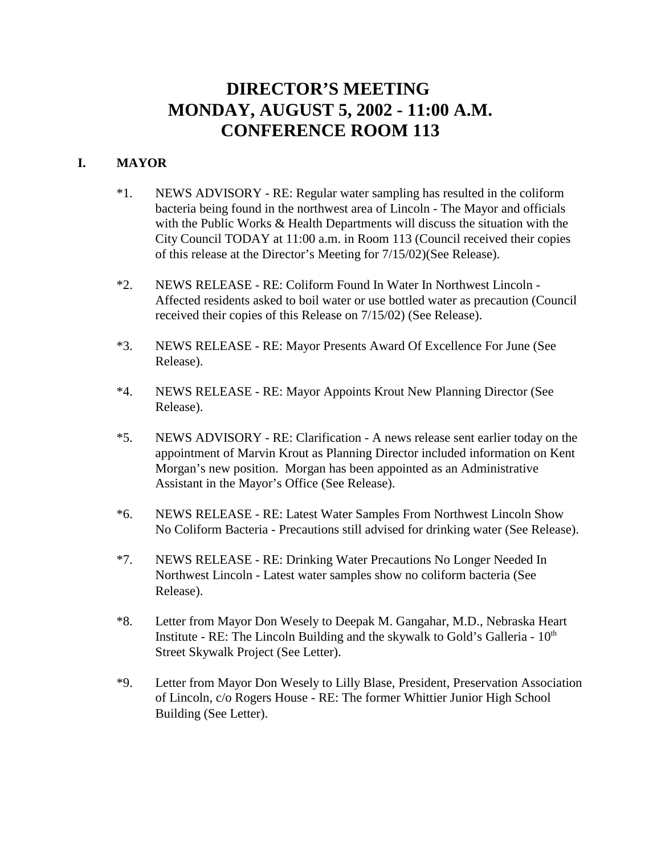# **DIRECTOR'S MEETING MONDAY, AUGUST 5, 2002 - 11:00 A.M. CONFERENCE ROOM 113**

## **I. MAYOR**

- \*1. NEWS ADVISORY RE: Regular water sampling has resulted in the coliform bacteria being found in the northwest area of Lincoln - The Mayor and officials with the Public Works & Health Departments will discuss the situation with the City Council TODAY at 11:00 a.m. in Room 113 (Council received their copies of this release at the Director's Meeting for 7/15/02)(See Release).
- \*2. NEWS RELEASE RE: Coliform Found In Water In Northwest Lincoln Affected residents asked to boil water or use bottled water as precaution (Council received their copies of this Release on 7/15/02) (See Release).
- \*3. NEWS RELEASE RE: Mayor Presents Award Of Excellence For June (See Release).
- \*4. NEWS RELEASE RE: Mayor Appoints Krout New Planning Director (See Release).
- \*5. NEWS ADVISORY RE: Clarification A news release sent earlier today on the appointment of Marvin Krout as Planning Director included information on Kent Morgan's new position. Morgan has been appointed as an Administrative Assistant in the Mayor's Office (See Release).
- \*6. NEWS RELEASE RE: Latest Water Samples From Northwest Lincoln Show No Coliform Bacteria - Precautions still advised for drinking water (See Release).
- \*7. NEWS RELEASE RE: Drinking Water Precautions No Longer Needed In Northwest Lincoln - Latest water samples show no coliform bacteria (See Release).
- \*8. Letter from Mayor Don Wesely to Deepak M. Gangahar, M.D., Nebraska Heart Institute - RE: The Lincoln Building and the skywalk to Gold's Galleria -  $10<sup>th</sup>$ Street Skywalk Project (See Letter).
- \*9. Letter from Mayor Don Wesely to Lilly Blase, President, Preservation Association of Lincoln, c/o Rogers House - RE: The former Whittier Junior High School Building (See Letter).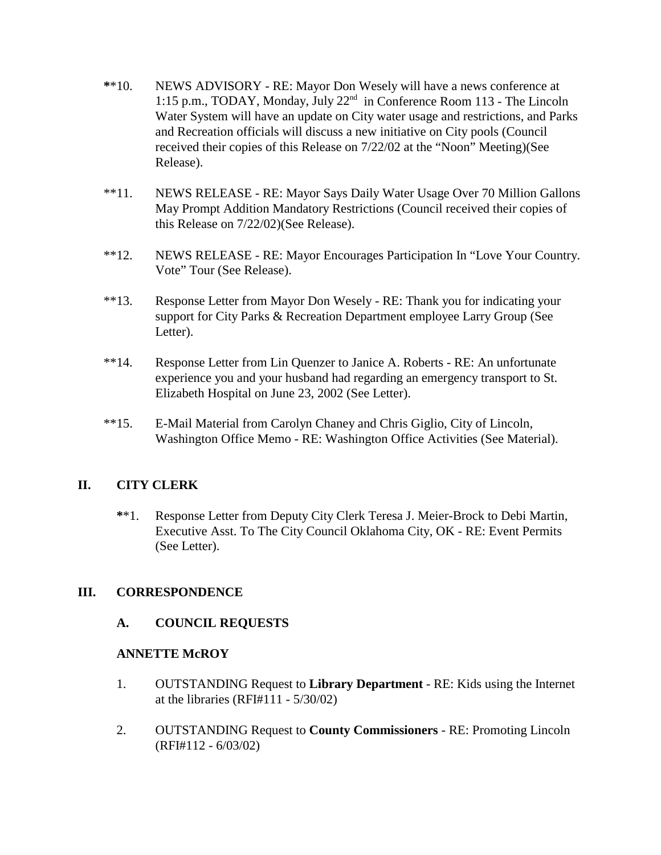- **\***\*10. NEWS ADVISORY RE: Mayor Don Wesely will have a news conference at 1:15 p.m., TODAY, Monday, July 22nd in Conference Room 113 - The Lincoln Water System will have an update on City water usage and restrictions, and Parks and Recreation officials will discuss a new initiative on City pools (Council received their copies of this Release on 7/22/02 at the "Noon" Meeting)(See Release).
- \*\*11. NEWS RELEASE RE: Mayor Says Daily Water Usage Over 70 Million Gallons May Prompt Addition Mandatory Restrictions (Council received their copies of this Release on 7/22/02)(See Release).
- \*\*12. NEWS RELEASE RE: Mayor Encourages Participation In "Love Your Country. Vote" Tour (See Release).
- \*\*13. Response Letter from Mayor Don Wesely RE: Thank you for indicating your support for City Parks & Recreation Department employee Larry Group (See Letter).
- \*\*14. Response Letter from Lin Quenzer to Janice A. Roberts RE: An unfortunate experience you and your husband had regarding an emergency transport to St. Elizabeth Hospital on June 23, 2002 (See Letter).
- \*\*15. E-Mail Material from Carolyn Chaney and Chris Giglio, City of Lincoln, Washington Office Memo - RE: Washington Office Activities (See Material).

#### **II. CITY CLERK**

**\***\*1. Response Letter from Deputy City Clerk Teresa J. Meier-Brock to Debi Martin, Executive Asst. To The City Council Oklahoma City, OK - RE: Event Permits (See Letter).

#### **III. CORRESPONDENCE**

#### **A. COUNCIL REQUESTS**

#### **ANNETTE McROY**

- 1. OUTSTANDING Request to **Library Department** RE: Kids using the Internet at the libraries (RFI#111 - 5/30/02)
- 2. OUTSTANDING Request to **County Commissioners** RE: Promoting Lincoln (RFI#112 - 6/03/02)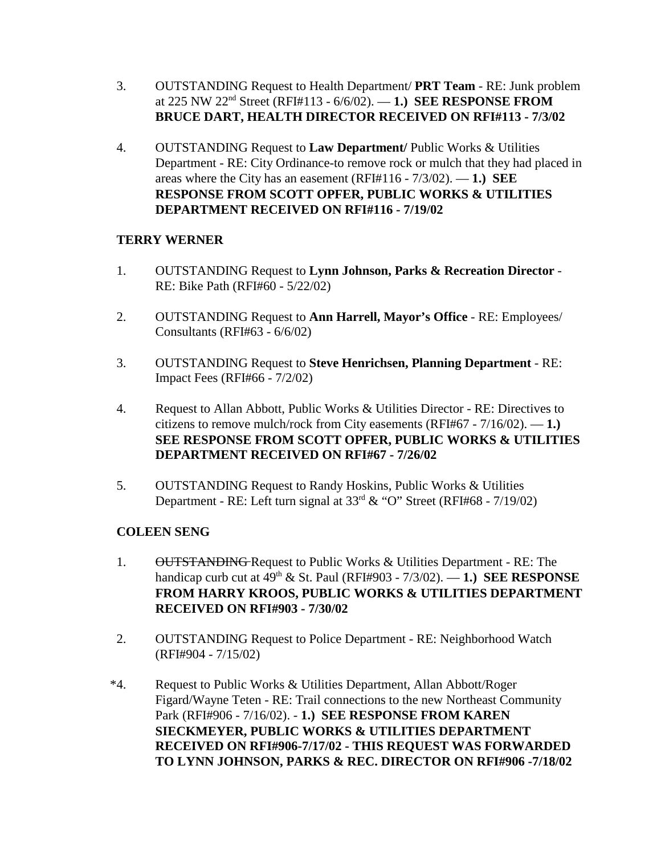- 3. OUTSTANDING Request to Health Department/ **PRT Team**  RE: Junk problem at 225 NW 22nd Street (RFI#113 - 6/6/02). — **1.) SEE RESPONSE FROM BRUCE DART, HEALTH DIRECTOR RECEIVED ON RFI#113 - 7/3/02**
- 4. OUTSTANDING Request to **Law Department/** Public Works & Utilities Department - RE: City Ordinance-to remove rock or mulch that they had placed in areas where the City has an easement (RFI#116 - 7/3/02). — **1.) SEE RESPONSE FROM SCOTT OPFER, PUBLIC WORKS & UTILITIES DEPARTMENT RECEIVED ON RFI#116 - 7/19/02**

# **TERRY WERNER**

- 1. OUTSTANDING Request to **Lynn Johnson, Parks & Recreation Director** RE: Bike Path (RFI#60 - 5/22/02)
- 2. OUTSTANDING Request to **Ann Harrell, Mayor's Office** RE: Employees/ Consultants (RFI#63 - 6/6/02)
- 3. OUTSTANDING Request to **Steve Henrichsen, Planning Department** RE: Impact Fees (RFI#66 - 7/2/02)
- 4. Request to Allan Abbott, Public Works & Utilities Director RE: Directives to citizens to remove mulch/rock from City easements (RFI#67 - 7/16/02). — **1.) SEE RESPONSE FROM SCOTT OPFER, PUBLIC WORKS & UTILITIES DEPARTMENT RECEIVED ON RFI#67 - 7/26/02**
- 5. OUTSTANDING Request to Randy Hoskins, Public Works & Utilities Department - RE: Left turn signal at  $33<sup>rd</sup>$  & "O" Street (RFI#68 - 7/19/02)

# **COLEEN SENG**

- 1. OUTSTANDING Request to Public Works & Utilities Department RE: The handicap curb cut at 49th & St. Paul (RFI#903 - 7/3/02). — **1.) SEE RESPONSE FROM HARRY KROOS, PUBLIC WORKS & UTILITIES DEPARTMENT RECEIVED ON RFI#903 - 7/30/02**
- 2. OUTSTANDING Request to Police Department RE: Neighborhood Watch (RFI#904 - 7/15/02)
- \*4. Request to Public Works & Utilities Department, Allan Abbott/Roger Figard/Wayne Teten - RE: Trail connections to the new Northeast Community Park (RFI#906 - 7/16/02). - **1.) SEE RESPONSE FROM KAREN SIECKMEYER, PUBLIC WORKS & UTILITIES DEPARTMENT RECEIVED ON RFI#906-7/17/02 - THIS REQUEST WAS FORWARDED TO LYNN JOHNSON, PARKS & REC. DIRECTOR ON RFI#906 -7/18/02**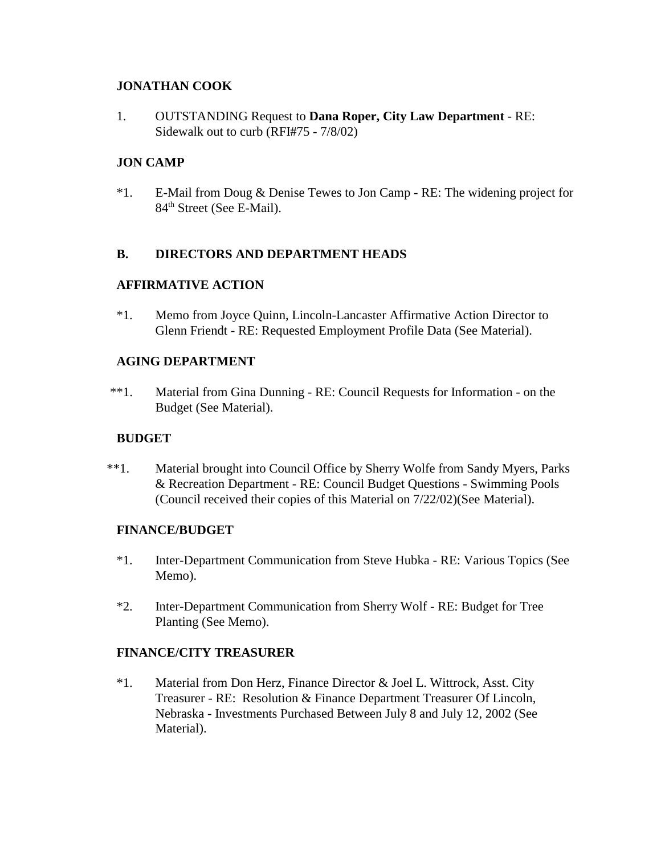## **JONATHAN COOK**

1. OUTSTANDING Request to **Dana Roper, City Law Department** - RE: Sidewalk out to curb (RFI#75 - 7/8/02)

# **JON CAMP**

\*1. E-Mail from Doug & Denise Tewes to Jon Camp - RE: The widening project for 84<sup>th</sup> Street (See E-Mail).

#### **B. DIRECTORS AND DEPARTMENT HEADS**

# **AFFIRMATIVE ACTION**

\*1. Memo from Joyce Quinn, Lincoln-Lancaster Affirmative Action Director to Glenn Friendt - RE: Requested Employment Profile Data (See Material).

# **AGING DEPARTMENT**

\*\*1. Material from Gina Dunning - RE: Council Requests for Information - on the Budget (See Material).

#### **BUDGET**

\*\*1. Material brought into Council Office by Sherry Wolfe from Sandy Myers, Parks & Recreation Department - RE: Council Budget Questions - Swimming Pools (Council received their copies of this Material on 7/22/02)(See Material).

#### **FINANCE/BUDGET**

- \*1. Inter-Department Communication from Steve Hubka RE: Various Topics (See Memo).
- \*2. Inter-Department Communication from Sherry Wolf RE: Budget for Tree Planting (See Memo).

#### **FINANCE/CITY TREASURER**

\*1. Material from Don Herz, Finance Director & Joel L. Wittrock, Asst. City Treasurer - RE: Resolution & Finance Department Treasurer Of Lincoln, Nebraska - Investments Purchased Between July 8 and July 12, 2002 (See Material).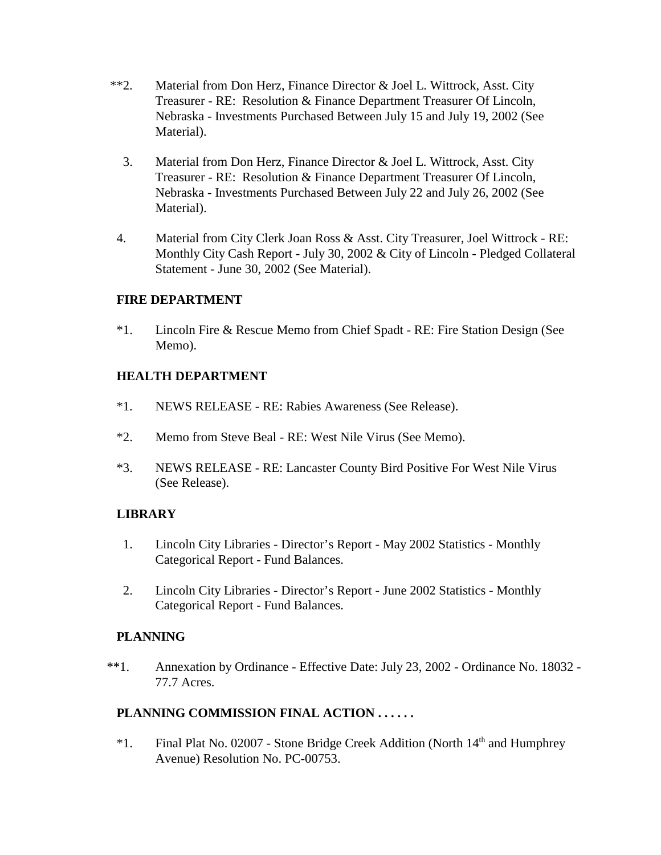- \*\*2. Material from Don Herz, Finance Director & Joel L. Wittrock, Asst. City Treasurer - RE: Resolution & Finance Department Treasurer Of Lincoln, Nebraska - Investments Purchased Between July 15 and July 19, 2002 (See Material).
	- 3. Material from Don Herz, Finance Director & Joel L. Wittrock, Asst. City Treasurer - RE: Resolution & Finance Department Treasurer Of Lincoln, Nebraska - Investments Purchased Between July 22 and July 26, 2002 (See Material).
- 4. Material from City Clerk Joan Ross & Asst. City Treasurer, Joel Wittrock RE: Monthly City Cash Report - July 30, 2002 & City of Lincoln - Pledged Collateral Statement - June 30, 2002 (See Material).

# **FIRE DEPARTMENT**

\*1. Lincoln Fire & Rescue Memo from Chief Spadt - RE: Fire Station Design (See Memo).

# **HEALTH DEPARTMENT**

- \*1. NEWS RELEASE RE: Rabies Awareness (See Release).
- \*2. Memo from Steve Beal RE: West Nile Virus (See Memo).
- \*3. NEWS RELEASE RE: Lancaster County Bird Positive For West Nile Virus (See Release).

#### **LIBRARY**

- 1. Lincoln City Libraries Director's Report May 2002 Statistics Monthly Categorical Report - Fund Balances.
- 2. Lincoln City Libraries Director's Report June 2002 Statistics Monthly Categorical Report - Fund Balances.

#### **PLANNING**

\*\*1. Annexation by Ordinance - Effective Date: July 23, 2002 - Ordinance No. 18032 - 77.7 Acres.

# **PLANNING COMMISSION FINAL ACTION . . . . . .**

 $*1.$  Final Plat No. 02007 - Stone Bridge Creek Addition (North  $14<sup>th</sup>$  and Humphrey Avenue) Resolution No. PC-00753.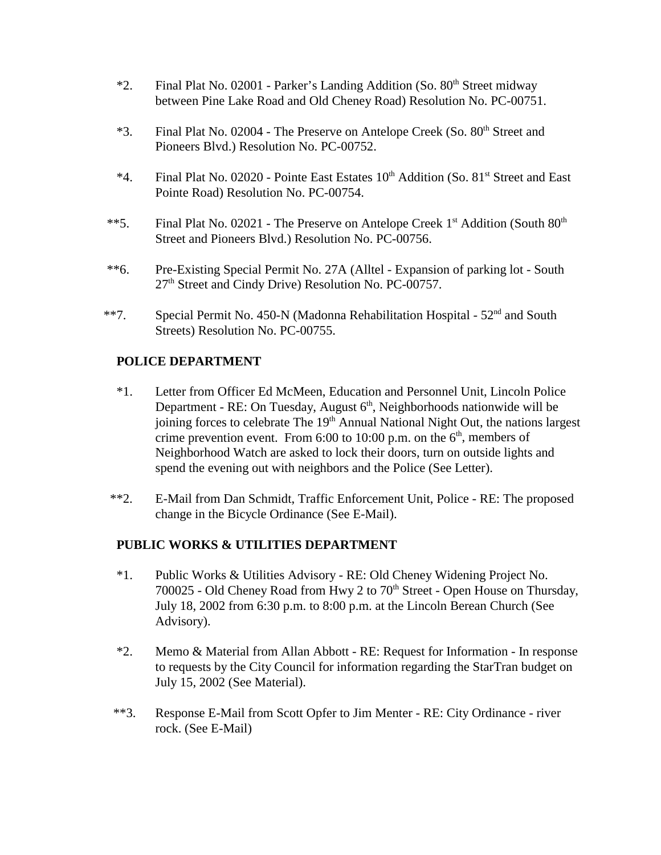- \*2. Final Plat No. 02001 Parker's Landing Addition (So.  $80<sup>th</sup>$  Street midway between Pine Lake Road and Old Cheney Road) Resolution No. PC-00751.
- \*3. Final Plat No. 02004 The Preserve on Antelope Creek (So. 80<sup>th</sup> Street and Pioneers Blvd.) Resolution No. PC-00752.
- $*4$ . Final Plat No. 02020 Pointe East Estates  $10<sup>th</sup>$  Addition (So. 81<sup>st</sup> Street and East Pointe Road) Resolution No. PC-00754.
- \*\*5. Final Plat No. 02021 The Preserve on Antelope Creek 1<sup>st</sup> Addition (South 80<sup>th</sup>) Street and Pioneers Blvd.) Resolution No. PC-00756.
- \*\*6. Pre-Existing Special Permit No. 27A (Alltel Expansion of parking lot South 27th Street and Cindy Drive) Resolution No. PC-00757.
- \*\*7. Special Permit No. 450-N (Madonna Rehabilitation Hospital  $52<sup>nd</sup>$  and South Streets) Resolution No. PC-00755.

#### **POLICE DEPARTMENT**

- \*1. Letter from Officer Ed McMeen, Education and Personnel Unit, Lincoln Police Department - RE: On Tuesday, August  $6<sup>th</sup>$ , Neighborhoods nationwide will be joining forces to celebrate The 19<sup>th</sup> Annual National Night Out, the nations largest crime prevention event. From 6:00 to 10:00 p.m. on the  $6<sup>th</sup>$ , members of Neighborhood Watch are asked to lock their doors, turn on outside lights and spend the evening out with neighbors and the Police (See Letter).
- \*\*2. E-Mail from Dan Schmidt, Traffic Enforcement Unit, Police RE: The proposed change in the Bicycle Ordinance (See E-Mail).

#### **PUBLIC WORKS & UTILITIES DEPARTMENT**

- \*1. Public Works & Utilities Advisory RE: Old Cheney Widening Project No. 700025 - Old Cheney Road from Hwy 2 to 70<sup>th</sup> Street - Open House on Thursday, July 18, 2002 from 6:30 p.m. to 8:00 p.m. at the Lincoln Berean Church (See Advisory).
- \*2. Memo & Material from Allan Abbott RE: Request for Information In response to requests by the City Council for information regarding the StarTran budget on July 15, 2002 (See Material).
- \*\*3. Response E-Mail from Scott Opfer to Jim Menter RE: City Ordinance river rock. (See E-Mail)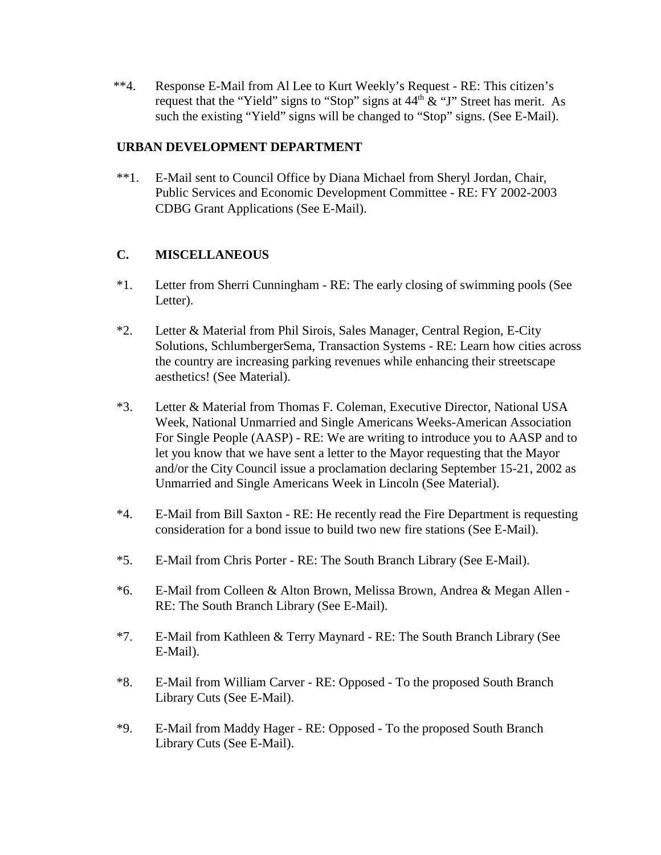\*\*4. Response E-Mail from Al Lee to Kurt Weekly's Request - RE: This citizen's request that the "Yield" signs to "Stop" signs at  $44<sup>th</sup> \& "J"$  Street has merit. As such the existing "Yield" signs will be changed to "Stop" signs. (See E-Mail).

#### **URBAN DEVELOPMENT DEPARTMENT**

\*\*1. E-Mail sent to Council Office by Diana Michael from Sheryl Jordan, Chair, Public Services and Economic Development Committee - RE: FY 2002-2003 CDBG Grant Applications (See E-Mail).

#### **C. MISCELLANEOUS**

- \*1. Letter from Sherri Cunningham RE: The early closing of swimming pools (See Letter).
- \*2. Letter & Material from Phil Sirois, Sales Manager, Central Region, E-City Solutions, SchlumbergerSema, Transaction Systems - RE: Learn how cities across the country are increasing parking revenues while enhancing their streetscape aesthetics! (See Material).
- \*3. Letter & Material from Thomas F. Coleman, Executive Director, National USA Week, National Unmarried and Single Americans Weeks-American Association For Single People (AASP) - RE: We are writing to introduce you to AASP and to let you know that we have sent a letter to the Mayor requesting that the Mayor and/or the City Council issue a proclamation declaring September 15-21, 2002 as Unmarried and Single Americans Week in Lincoln (See Material).
- \*4. E-Mail from Bill Saxton RE: He recently read the Fire Department is requesting consideration for a bond issue to build two new fire stations (See E-Mail).
- \*5. E-Mail from Chris Porter RE: The South Branch Library (See E-Mail).
- \*6. E-Mail from Colleen & Alton Brown, Melissa Brown, Andrea & Megan Allen RE: The South Branch Library (See E-Mail).
- \*7. E-Mail from Kathleen & Terry Maynard RE: The South Branch Library (See E-Mail).
- \*8. E-Mail from William Carver RE: Opposed To the proposed South Branch Library Cuts (See E-Mail).
- \*9. E-Mail from Maddy Hager RE: Opposed To the proposed South Branch Library Cuts (See E-Mail).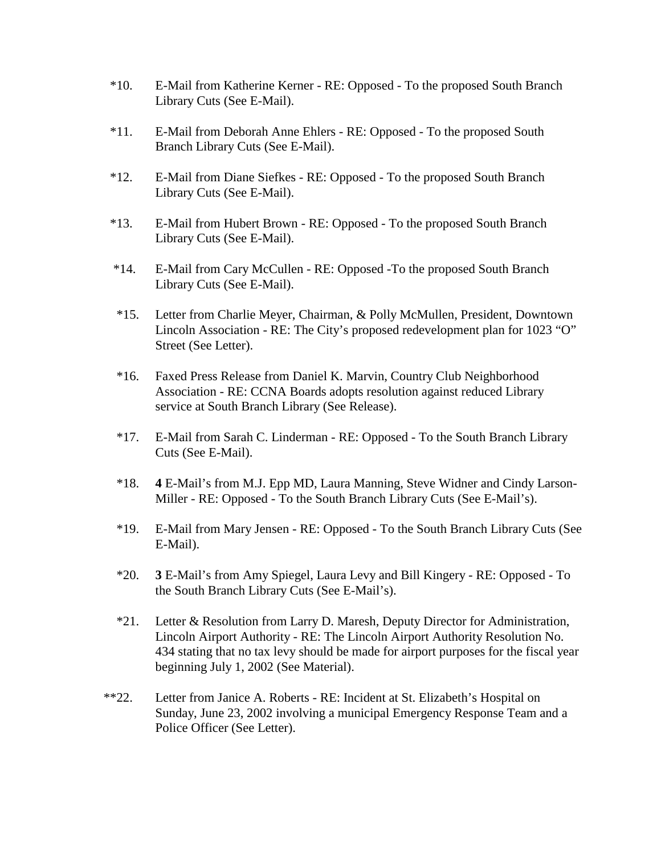- \*10. E-Mail from Katherine Kerner RE: Opposed To the proposed South Branch Library Cuts (See E-Mail).
- \*11. E-Mail from Deborah Anne Ehlers RE: Opposed To the proposed South Branch Library Cuts (See E-Mail).
- \*12. E-Mail from Diane Siefkes RE: Opposed To the proposed South Branch Library Cuts (See E-Mail).
- \*13. E-Mail from Hubert Brown RE: Opposed To the proposed South Branch Library Cuts (See E-Mail).
- \*14. E-Mail from Cary McCullen RE: Opposed -To the proposed South Branch Library Cuts (See E-Mail).
- \*15. Letter from Charlie Meyer, Chairman, & Polly McMullen, President, Downtown Lincoln Association - RE: The City's proposed redevelopment plan for 1023 "O" Street (See Letter).
- \*16. Faxed Press Release from Daniel K. Marvin, Country Club Neighborhood Association - RE: CCNA Boards adopts resolution against reduced Library service at South Branch Library (See Release).
- \*17. E-Mail from Sarah C. Linderman RE: Opposed To the South Branch Library Cuts (See E-Mail).
- \*18. **4** E-Mail's from M.J. Epp MD, Laura Manning, Steve Widner and Cindy Larson-Miller - RE: Opposed - To the South Branch Library Cuts (See E-Mail's).
- \*19. E-Mail from Mary Jensen RE: Opposed To the South Branch Library Cuts (See E-Mail).
- \*20. **3** E-Mail's from Amy Spiegel, Laura Levy and Bill Kingery RE: Opposed To the South Branch Library Cuts (See E-Mail's).
- \*21. Letter & Resolution from Larry D. Maresh, Deputy Director for Administration, Lincoln Airport Authority - RE: The Lincoln Airport Authority Resolution No. 434 stating that no tax levy should be made for airport purposes for the fiscal year beginning July 1, 2002 (See Material).
- \*\*22. Letter from Janice A. Roberts RE: Incident at St. Elizabeth's Hospital on Sunday, June 23, 2002 involving a municipal Emergency Response Team and a Police Officer (See Letter).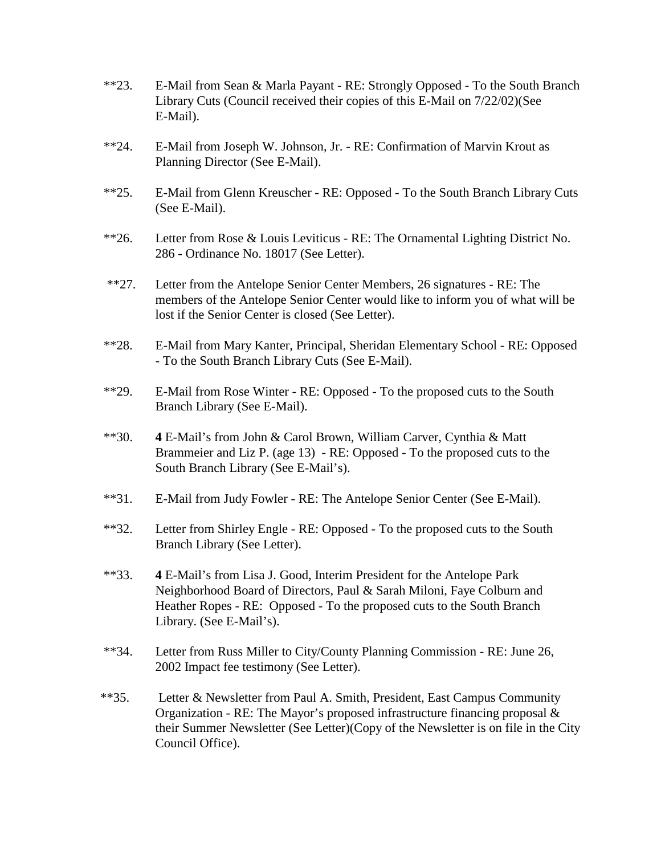- \*\*23. E-Mail from Sean & Marla Payant RE: Strongly Opposed To the South Branch Library Cuts (Council received their copies of this E-Mail on 7/22/02)(See E-Mail).
- \*\*24. E-Mail from Joseph W. Johnson, Jr. RE: Confirmation of Marvin Krout as Planning Director (See E-Mail).
- \*\*25. E-Mail from Glenn Kreuscher RE: Opposed To the South Branch Library Cuts (See E-Mail).
- \*\*26. Letter from Rose & Louis Leviticus RE: The Ornamental Lighting District No. 286 - Ordinance No. 18017 (See Letter).
- \*\*27. Letter from the Antelope Senior Center Members, 26 signatures RE: The members of the Antelope Senior Center would like to inform you of what will be lost if the Senior Center is closed (See Letter).
- \*\*28. E-Mail from Mary Kanter, Principal, Sheridan Elementary School RE: Opposed - To the South Branch Library Cuts (See E-Mail).
- \*\*29. E-Mail from Rose Winter RE: Opposed To the proposed cuts to the South Branch Library (See E-Mail).
- \*\*30. **4** E-Mail's from John & Carol Brown, William Carver, Cynthia & Matt Brammeier and Liz P. (age 13) - RE: Opposed - To the proposed cuts to the South Branch Library (See E-Mail's).
- \*\*31. E-Mail from Judy Fowler RE: The Antelope Senior Center (See E-Mail).
- \*\*32. Letter from Shirley Engle RE: Opposed To the proposed cuts to the South Branch Library (See Letter).
- \*\*33. **4** E-Mail's from Lisa J. Good, Interim President for the Antelope Park Neighborhood Board of Directors, Paul & Sarah Miloni, Faye Colburn and Heather Ropes - RE: Opposed - To the proposed cuts to the South Branch Library. (See E-Mail's).
- \*\*34. Letter from Russ Miller to City/County Planning Commission RE: June 26, 2002 Impact fee testimony (See Letter).
- \*\*35. Letter & Newsletter from Paul A. Smith, President, East Campus Community Organization - RE: The Mayor's proposed infrastructure financing proposal  $\&$ their Summer Newsletter (See Letter)(Copy of the Newsletter is on file in the City Council Office).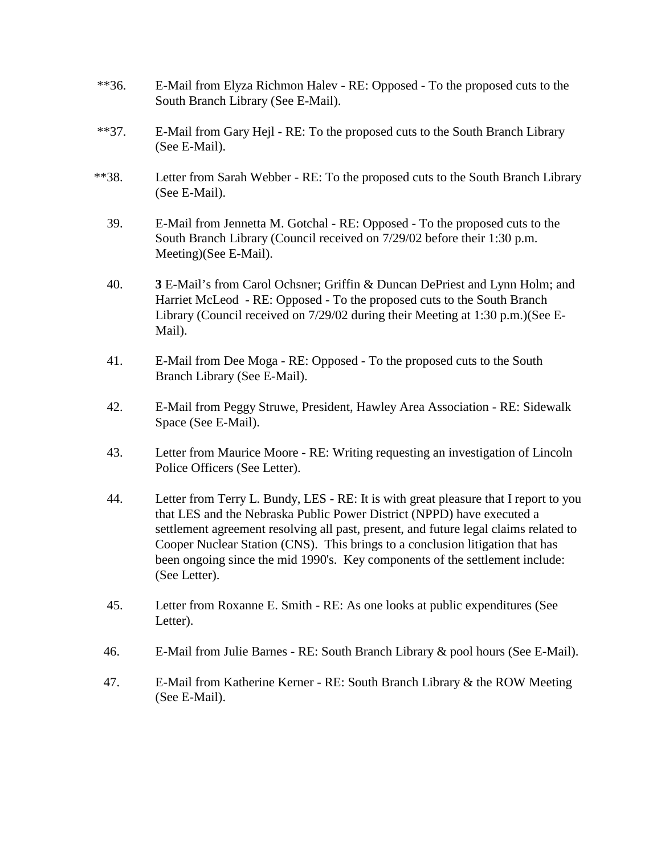- \*\*36. E-Mail from Elyza Richmon Halev RE: Opposed To the proposed cuts to the South Branch Library (See E-Mail).
- \*\*37. E-Mail from Gary Hejl RE: To the proposed cuts to the South Branch Library (See E-Mail).
- \*\*38. Letter from Sarah Webber RE: To the proposed cuts to the South Branch Library (See E-Mail).
	- 39. E-Mail from Jennetta M. Gotchal RE: Opposed To the proposed cuts to the South Branch Library (Council received on 7/29/02 before their 1:30 p.m. Meeting)(See E-Mail).
	- 40. **3** E-Mail's from Carol Ochsner; Griffin & Duncan DePriest and Lynn Holm; and Harriet McLeod - RE: Opposed - To the proposed cuts to the South Branch Library (Council received on 7/29/02 during their Meeting at 1:30 p.m.)(See E-Mail).
	- 41. E-Mail from Dee Moga RE: Opposed To the proposed cuts to the South Branch Library (See E-Mail).
	- 42. E-Mail from Peggy Struwe, President, Hawley Area Association RE: Sidewalk Space (See E-Mail).
	- 43. Letter from Maurice Moore RE: Writing requesting an investigation of Lincoln Police Officers (See Letter).
	- 44. Letter from Terry L. Bundy, LES RE: It is with great pleasure that I report to you that LES and the Nebraska Public Power District (NPPD) have executed a settlement agreement resolving all past, present, and future legal claims related to Cooper Nuclear Station (CNS). This brings to a conclusion litigation that has been ongoing since the mid 1990's. Key components of the settlement include: (See Letter).
	- 45. Letter from Roxanne E. Smith RE: As one looks at public expenditures (See Letter).
	- 46. E-Mail from Julie Barnes RE: South Branch Library & pool hours (See E-Mail).
	- 47. E-Mail from Katherine Kerner RE: South Branch Library & the ROW Meeting (See E-Mail).